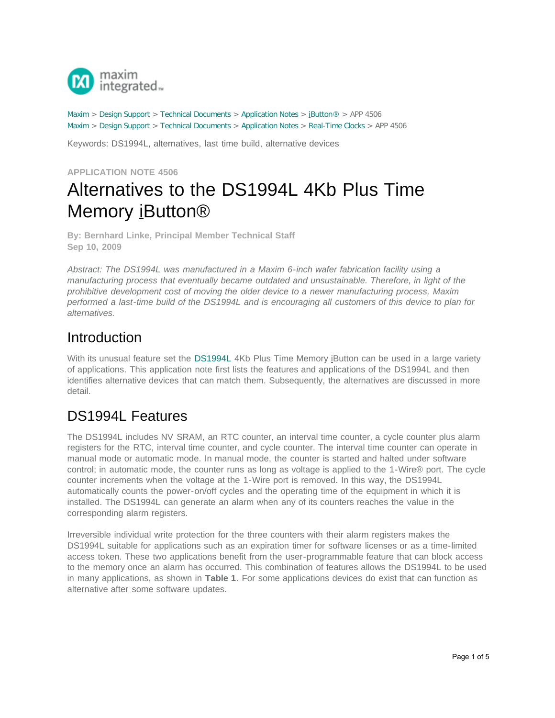

[Maxim](http://www.maximintegrated.com/) > [Design Support](http://www.maximintegrated.com/design/) > [Technical Documents](http://www.maximintegrated.com/design/techdocs/) > [Application Notes](http://www.maximintegrated.com/design/techdocs/app-notes/index.mvp) > [iButton®](http://www.maximintegrated.com/design/techdocs/app-notes/index.mvp/id/65/c/iButton%26reg%3B#c65) > APP 4506 [Maxim](http://www.maximintegrated.com/) > [Design Support](http://www.maximintegrated.com/design/) > [Technical Documents](http://www.maximintegrated.com/design/techdocs/) > [Application Notes](http://www.maximintegrated.com/design/techdocs/app-notes/index.mvp) > [Real-Time Clocks](http://www.maximintegrated.com/design/techdocs/app-notes/index.mvp/id/21/c/Real-Time%20Clocks#c21) > APP 4506

Keywords: DS1994L, alternatives, last time build, alternative devices

#### **APPLICATION NOTE 4506**

# Alternatives to the DS1994L 4Kb Plus Time Memory iButton®

**By: Bernhard Linke, Principal Member Technical Staff Sep 10, 2009**

*Abstract: The DS1994L was manufactured in a Maxim 6-inch wafer fabrication facility using a manufacturing process that eventually became outdated and unsustainable. Therefore, in light of the prohibitive development cost of moving the older device to a newer manufacturing process, Maxim performed a last-time build of the DS1994L and is encouraging all customers of this device to plan for alternatives.*

### Introduction

With its unusual feature set the [DS1994L](http://www.maximintegrated.com/DS1994) 4Kb Plus Time Memory iButton can be used in a large variety of applications. This application note first lists the features and applications of the DS1994L and then identifies alternative devices that can match them. Subsequently, the alternatives are discussed in more detail.

### DS1994L Features

The DS1994L includes NV SRAM, an RTC counter, an interval time counter, a cycle counter plus alarm registers for the RTC, interval time counter, and cycle counter. The interval time counter can operate in manual mode or automatic mode. In manual mode, the counter is started and halted under software control; in automatic mode, the counter runs as long as voltage is applied to the 1-Wire® port. The cycle counter increments when the voltage at the 1-Wire port is removed. In this way, the DS1994L automatically counts the power-on/off cycles and the operating time of the equipment in which it is installed. The DS1994L can generate an alarm when any of its counters reaches the value in the corresponding alarm registers.

Irreversible individual write protection for the three counters with their alarm registers makes the DS1994L suitable for applications such as an expiration timer for software licenses or as a time-limited access token. These two applications benefit from the user-programmable feature that can block access to the memory once an alarm has occurred. This combination of features allows the DS1994L to be used in many applications, as shown in **Table 1**. For some applications devices do exist that can function as alternative after some software updates.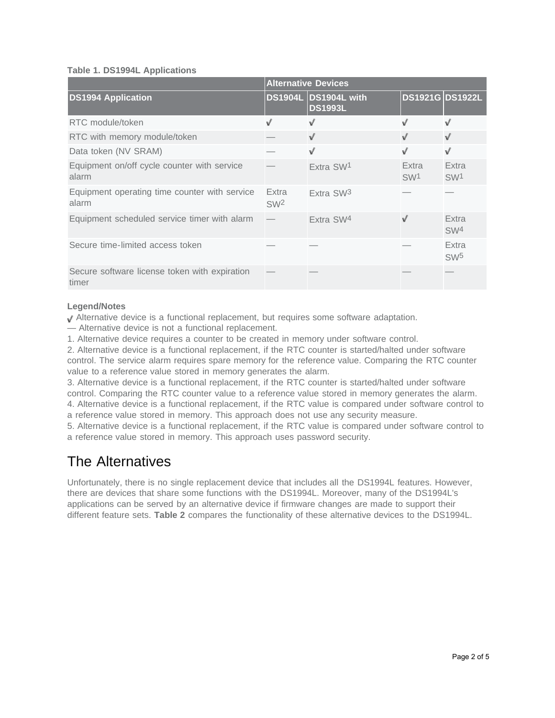#### **Table 1. DS1994L Applications**

|                                                        | <b>Alternative Devices</b> |                                        |                          |                          |
|--------------------------------------------------------|----------------------------|----------------------------------------|--------------------------|--------------------------|
| <b>DS1994 Application</b>                              |                            | DS1904L DS1904L with<br><b>DS1993L</b> | <b>DS1921G DS1922L</b>   |                          |
| RTC module/token                                       | V                          | v                                      | J                        | V                        |
| RTC with memory module/token                           |                            | v                                      | v                        | $\sqrt{ }$               |
| Data token (NV SRAM)                                   |                            | V                                      | v                        | $\sqrt{}$                |
| Equipment on/off cycle counter with service<br>alarm   |                            | Extra SW1                              | Extra<br>SW <sup>1</sup> | Extra<br>SW <sup>1</sup> |
| Equipment operating time counter with service<br>alarm | Extra<br>SW <sup>2</sup>   | Extra SW <sub>3</sub>                  |                          |                          |
| Equipment scheduled service timer with alarm           |                            | Extra SW4                              | v                        | Extra<br>SW <sup>4</sup> |
| Secure time-limited access token                       |                            |                                        |                          | Extra<br>SW <sub>5</sub> |
| Secure software license token with expiration<br>timer |                            |                                        |                          |                          |

#### **Legend/Notes**

Alternative device is a functional replacement, but requires some software adaptation.

— Alternative device is not a functional replacement.

1. Alternative device requires a counter to be created in memory under software control.

2. Alternative device is a functional replacement, if the RTC counter is started/halted under software control. The service alarm requires spare memory for the reference value. Comparing the RTC counter value to a reference value stored in memory generates the alarm.

3. Alternative device is a functional replacement, if the RTC counter is started/halted under software control. Comparing the RTC counter value to a reference value stored in memory generates the alarm. 4. Alternative device is a functional replacement, if the RTC value is compared under software control to

a reference value stored in memory. This approach does not use any security measure.

5. Alternative device is a functional replacement, if the RTC value is compared under software control to a reference value stored in memory. This approach uses password security.

### The Alternatives

Unfortunately, there is no single replacement device that includes all the DS1994L features. However, there are devices that share some functions with the DS1994L. Moreover, many of the DS1994L's applications can be served by an alternative device if firmware changes are made to support their different feature sets. **Table 2** compares the functionality of these alternative devices to the DS1994L.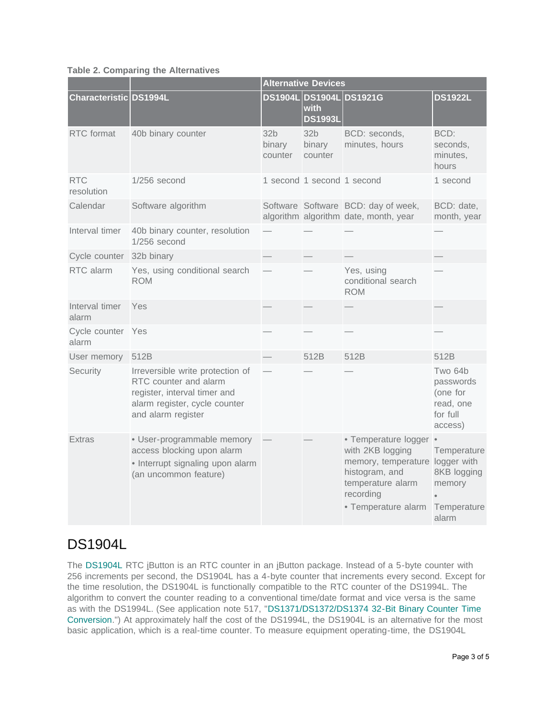#### **Table 2. Comparing the Alternatives**

|                            |                                                                                                                                                  | <b>Alternative Devices</b>           |                                      |                                                                                                                                                        |                                                                      |
|----------------------------|--------------------------------------------------------------------------------------------------------------------------------------------------|--------------------------------------|--------------------------------------|--------------------------------------------------------------------------------------------------------------------------------------------------------|----------------------------------------------------------------------|
| Characteristic DS1994L     |                                                                                                                                                  |                                      | with<br><b>DS1993L</b>               | DS1904L DS1904L DS1921G                                                                                                                                | <b>DS1922L</b>                                                       |
| RTC format                 | 40b binary counter                                                                                                                               | 32 <sub>b</sub><br>binary<br>counter | 32 <sub>b</sub><br>binary<br>counter | BCD: seconds,<br>minutes, hours                                                                                                                        | BCD:<br>seconds,<br>minutes,<br>hours                                |
| <b>RTC</b><br>resolution   | $1/256$ second                                                                                                                                   |                                      | 1 second 1 second 1 second           |                                                                                                                                                        | 1 second                                                             |
| Calendar                   | Software algorithm                                                                                                                               |                                      |                                      | Software Software BCD: day of week,<br>algorithm algorithm date, month, year                                                                           | BCD: date,<br>month, year                                            |
| Interval timer             | 40b binary counter, resolution<br>$1/256$ second                                                                                                 |                                      |                                      |                                                                                                                                                        |                                                                      |
| Cycle counter 32b binary   |                                                                                                                                                  |                                      |                                      |                                                                                                                                                        |                                                                      |
| RTC alarm                  | Yes, using conditional search<br><b>ROM</b>                                                                                                      |                                      |                                      | Yes, using<br>conditional search<br><b>ROM</b>                                                                                                         |                                                                      |
| Interval timer<br>alarm    | Yes                                                                                                                                              |                                      |                                      |                                                                                                                                                        |                                                                      |
| Cycle counter Yes<br>alarm |                                                                                                                                                  |                                      |                                      |                                                                                                                                                        |                                                                      |
| User memory                | 512B                                                                                                                                             |                                      | 512B                                 | 512B                                                                                                                                                   | 512B                                                                 |
| Security                   | Irreversible write protection of<br>RTC counter and alarm<br>register, interval timer and<br>alarm register, cycle counter<br>and alarm register |                                      |                                      |                                                                                                                                                        | Two 64b<br>passwords<br>(one for<br>read, one<br>for full<br>access) |
| <b>Extras</b>              | · User-programmable memory<br>access blocking upon alarm<br>• Interrupt signaling upon alarm<br>(an uncommon feature)                            |                                      |                                      | • Temperature logger<br>with 2KB logging<br>memory, temperature logger with<br>histogram, and<br>temperature alarm<br>recording<br>• Temperature alarm | Temperature<br>8KB logging<br>memory<br>Temperature<br>alarm         |

### DS1904L

The [DS1904L](http://www.maximintegrated.com/DS1904) RTC iButton is an RTC counter in an iButton package. Instead of a 5-byte counter with 256 increments per second, the DS1904L has a 4-byte counter that increments every second. Except for the time resolution, the DS1904L is functionally compatible to the RTC counter of the DS1994L. The algorithm to convert the counter reading to a conventional time/date format and vice versa is the same as with the DS1994L. (See application note 517, "[DS1371/DS1372/DS1374 32-Bit Binary Counter Time](http://www.maximintegrated.com/an517) [Conversion.](http://www.maximintegrated.com/an517)") At approximately half the cost of the DS1994L, the DS1904L is an alternative for the most basic application, which is a real-time counter. To measure equipment operating-time, the DS1904L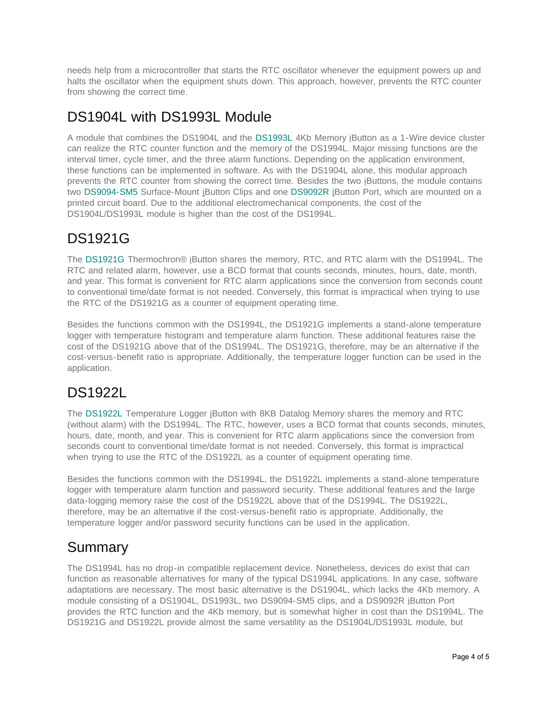needs help from a microcontroller that starts the RTC oscillator whenever the equipment powers up and halts the oscillator when the equipment shuts down. This approach, however, prevents the RTC counter from showing the correct time.

### DS1904L with DS1993L Module

A module that combines the DS1904L and the [DS1993L](http://www.maximintegrated.com/DS1993) 4Kb Memory iButton as a 1-Wire device cluster can realize the RTC counter function and the memory of the DS1994L. Major missing functions are the interval timer, cycle timer, and the three alarm functions. Depending on the application environment, these functions can be implemented in software. As with the DS1904L alone, this modular approach prevents the RTC counter from showing the correct time. Besides the two iButtons, the module contains two [DS9094-SM5](http://www.maximintegrated.com/DS9094-SM5) Surface-Mount iButton Clips and one [DS9092R](http://www.maximintegrated.com/DS9092R) iButton Port, which are mounted on a printed circuit board. Due to the additional electromechanical components, the cost of the DS1904L/DS1993L module is higher than the cost of the DS1994L.

### DS1921G

The [DS1921G](http://www.maximintegrated.com/DS1921G) Thermochron® iButton shares the memory, RTC, and RTC alarm with the DS1994L. The RTC and related alarm, however, use a BCD format that counts seconds, minutes, hours, date, month, and year. This format is convenient for RTC alarm applications since the conversion from seconds count to conventional time/date format is not needed. Conversely, this format is impractical when trying to use the RTC of the DS1921G as a counter of equipment operating time.

Besides the functions common with the DS1994L, the DS1921G implements a stand-alone temperature logger with temperature histogram and temperature alarm function. These additional features raise the cost of the DS1921G above that of the DS1994L. The DS1921G, therefore, may be an alternative if the cost-versus-benefit ratio is appropriate. Additionally, the temperature logger function can be used in the application.

## DS1922L

The [DS1922L](http://www.maximintegrated.com/DS1922L) Temperature Logger iButton with 8KB Datalog Memory shares the memory and RTC (without alarm) with the DS1994L. The RTC, however, uses a BCD format that counts seconds, minutes, hours, date, month, and year. This is convenient for RTC alarm applications since the conversion from seconds count to conventional time/date format is not needed. Conversely, this format is impractical when trying to use the RTC of the DS1922L as a counter of equipment operating time.

Besides the functions common with the DS1994L, the DS1922L implements a stand-alone temperature logger with temperature alarm function and password security. These additional features and the large data-logging memory raise the cost of the DS1922L above that of the DS1994L. The DS1922L, therefore, may be an alternative if the cost-versus-benefit ratio is appropriate. Additionally, the temperature logger and/or password security functions can be used in the application.

### Summary

The DS1994L has no drop-in compatible replacement device. Nonetheless, devices do exist that can function as reasonable alternatives for many of the typical DS1994L applications. In any case, software adaptations are necessary. The most basic alternative is the DS1904L, which lacks the 4Kb memory. A module consisting of a DS1904L, DS1993L, two DS9094-SM5 clips, and a DS9092R iButton Port provides the RTC function and the 4Kb memory, but is somewhat higher in cost than the DS1994L. The DS1921G and DS1922L provide almost the same versatility as the DS1904L/DS1993L module, but